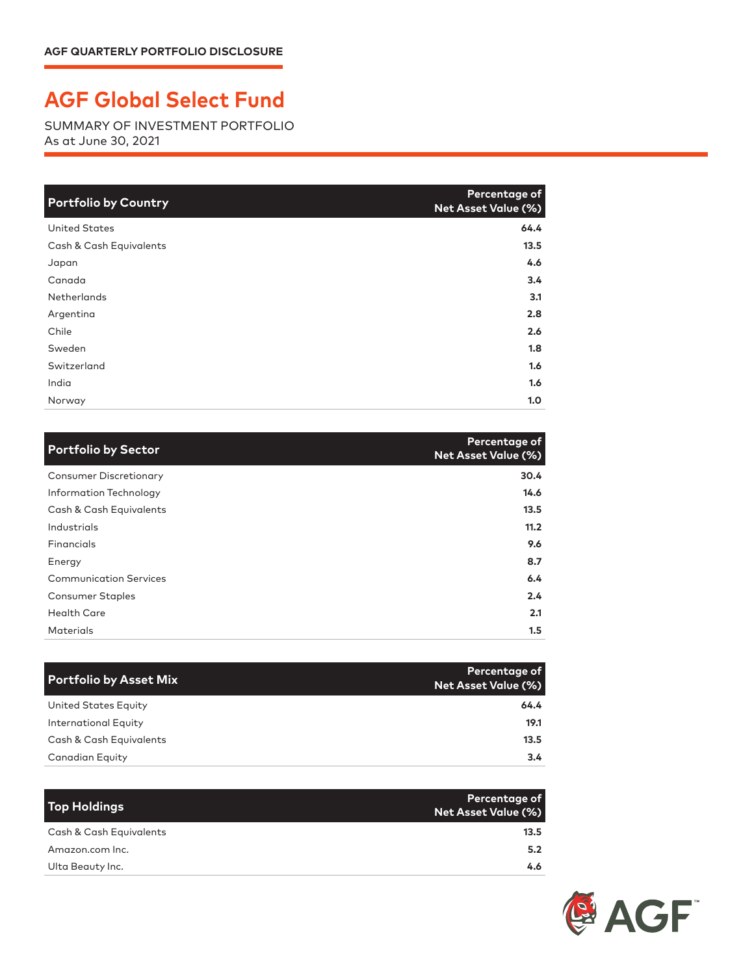## **AGF Global Select Fund**

SUMMARY OF INVESTMENT PORTFOLIO As at June 30, 2021

| <b>Portfolio by Country</b> | Percentage of<br><b>Net Asset Value (%)</b> |
|-----------------------------|---------------------------------------------|
| <b>United States</b>        | 64.4                                        |
| Cash & Cash Equivalents     | 13.5                                        |
| Japan                       | 4.6                                         |
| Canada                      | 3.4                                         |
| Netherlands                 | 3.1                                         |
| Argentina                   | 2.8                                         |
| Chile                       | 2.6                                         |
| Sweden                      | 1.8                                         |
| Switzerland                 | 1.6                                         |
| India                       | 1.6                                         |
| Norway                      | 1.0                                         |

| <b>Portfolio by Sector</b>    | Percentage of<br><b>Net Asset Value (%)</b> |
|-------------------------------|---------------------------------------------|
| <b>Consumer Discretionary</b> | 30.4                                        |
| Information Technology        | 14.6                                        |
| Cash & Cash Equivalents       | 13.5                                        |
| Industrials                   | 11.2                                        |
| Financials                    | 9.6                                         |
| Energy                        | 8.7                                         |
| <b>Communication Services</b> | 6.4                                         |
| <b>Consumer Staples</b>       | 2.4                                         |
| <b>Health Care</b>            | 2.1                                         |
| Materials                     | $1.5\,$                                     |

| <b>Portfolio by Asset Mix</b> | Percentage of<br><b>Net Asset Value (%)</b> |
|-------------------------------|---------------------------------------------|
| United States Equity          | 64.4                                        |
| <b>International Equity</b>   | 19.1                                        |
| Cash & Cash Equivalents       | 13.5                                        |
| Canadian Equity               | $3.4^{\circ}$                               |

| Top Holdings            | Percentage of<br>Net Asset Value (%) |
|-------------------------|--------------------------------------|
| Cash & Cash Equivalents | 13.5                                 |
| Amazon.com Inc.         | 5.2                                  |
| Ulta Beauty Inc.        | 4.6                                  |